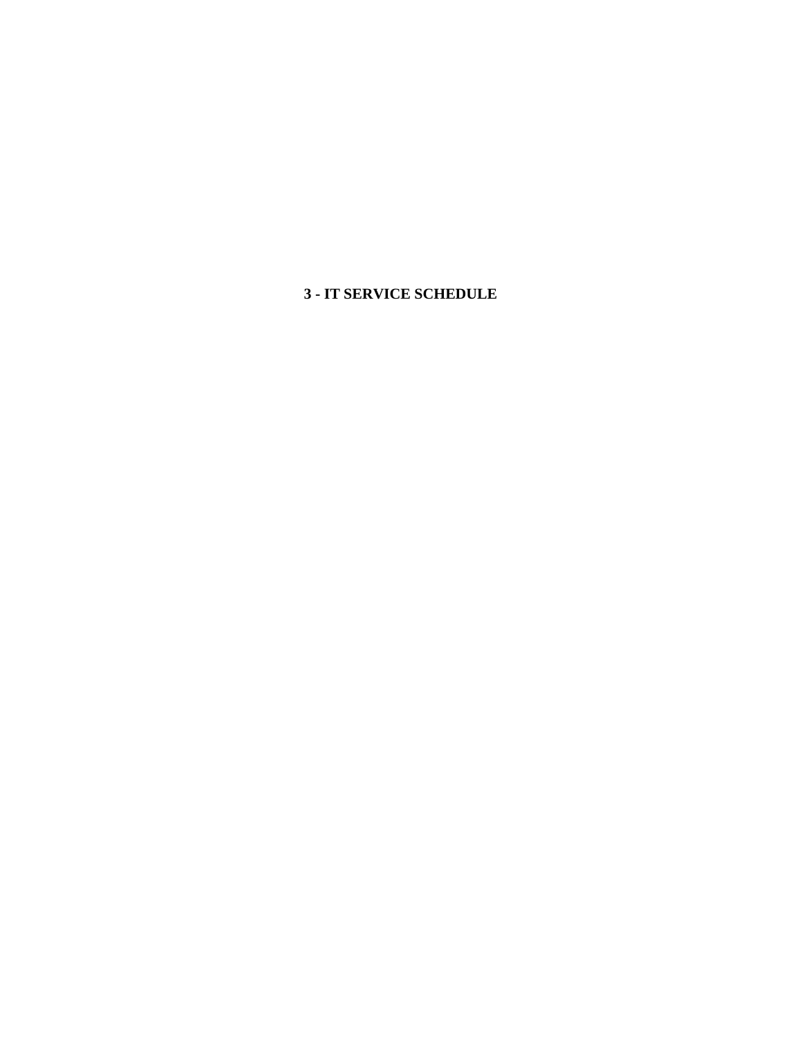**3 - IT SERVICE SCHEDULE**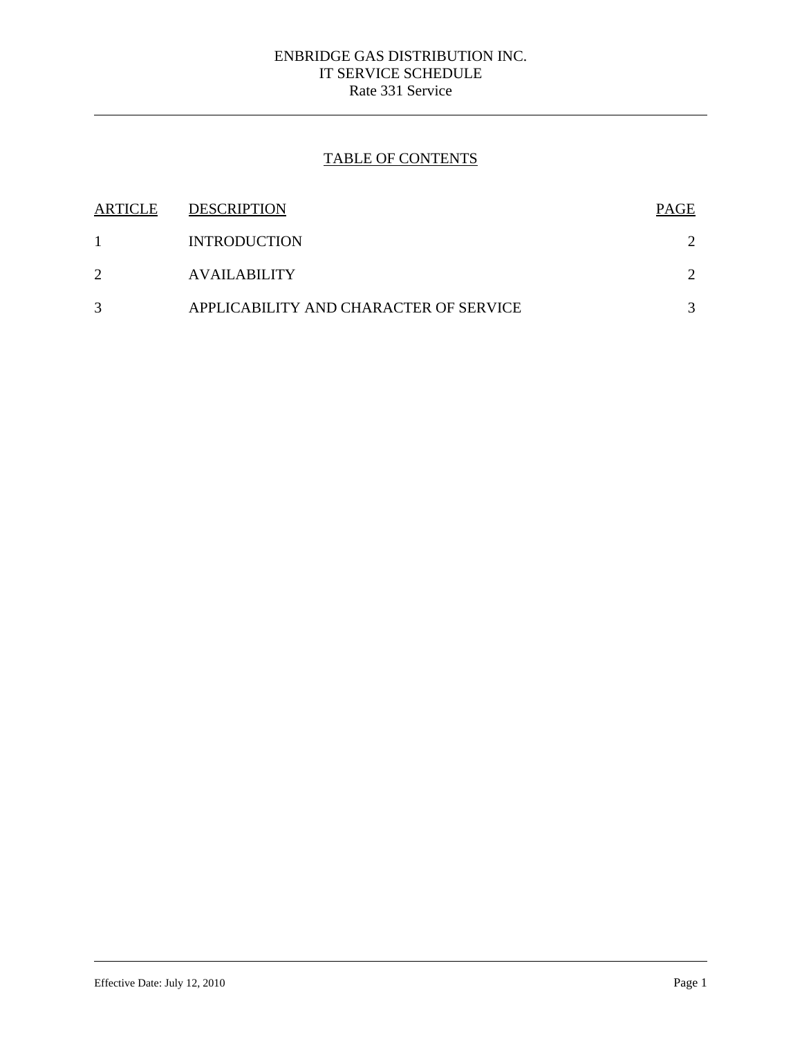## ENBRIDGE GAS DISTRIBUTION INC. IT SERVICE SCHEDULE Rate 331 Service

# TABLE OF CONTENTS

| ARTICLE | <b>DESCRIPTION</b>                     | <b>PAGE</b> |
|---------|----------------------------------------|-------------|
|         | <b>INTRODUCTION</b>                    |             |
| 2       | <b>AVAILABILITY</b>                    |             |
| 3       | APPLICABILITY AND CHARACTER OF SERVICE |             |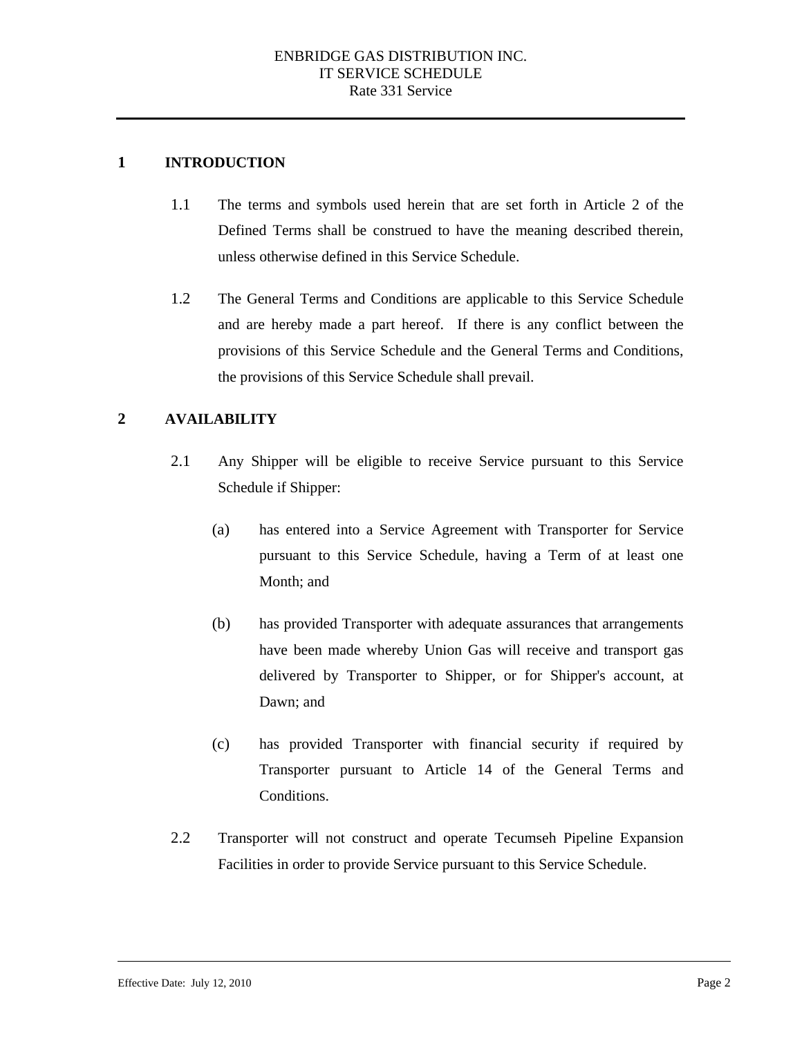### **1 INTRODUCTION**

- 1.1 The terms and symbols used herein that are set forth in Article 2 of the Defined Terms shall be construed to have the meaning described therein, unless otherwise defined in this Service Schedule.
- 1.2 The General Terms and Conditions are applicable to this Service Schedule and are hereby made a part hereof. If there is any conflict between the provisions of this Service Schedule and the General Terms and Conditions, the provisions of this Service Schedule shall prevail.

### **2 AVAILABILITY**

- 2.1 Any Shipper will be eligible to receive Service pursuant to this Service Schedule if Shipper:
	- (a) has entered into a Service Agreement with Transporter for Service pursuant to this Service Schedule, having a Term of at least one Month; and
	- (b) has provided Transporter with adequate assurances that arrangements have been made whereby Union Gas will receive and transport gas delivered by Transporter to Shipper, or for Shipper's account, at Dawn; and
	- (c) has provided Transporter with financial security if required by Transporter pursuant to Article 14 of the General Terms and Conditions.
- 2.2 Transporter will not construct and operate Tecumseh Pipeline Expansion Facilities in order to provide Service pursuant to this Service Schedule.